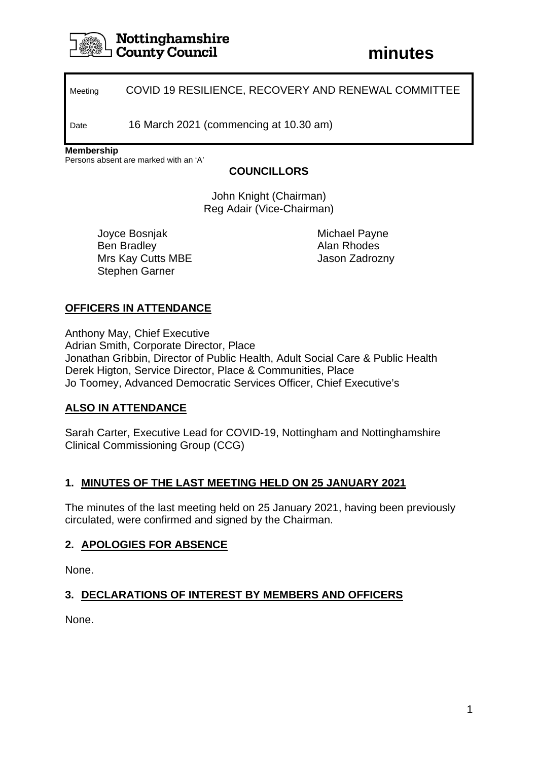

# **Nottinghamshire County Council**

Meeting COVID 19 RESILIENCE, RECOVERY AND RENEWAL COMMITTEE

Date 16 March 2021 (commencing at 10.30 am)

**Membership**

Persons absent are marked with an 'A'

#### **COUNCILLORS**

John Knight (Chairman) Reg Adair (Vice-Chairman)

Joyce Bosnjak Ben Bradley Mrs Kay Cutts MBE Stephen Garner

Michael Payne Alan Rhodes Jason Zadrozny

# **OFFICERS IN ATTENDANCE**

Anthony May, Chief Executive Adrian Smith, Corporate Director, Place Jonathan Gribbin, Director of Public Health, Adult Social Care & Public Health Derek Higton, Service Director, Place & Communities, Place Jo Toomey, Advanced Democratic Services Officer, Chief Executive's

# **ALSO IN ATTENDANCE**

Sarah Carter, Executive Lead for COVID-19, Nottingham and Nottinghamshire Clinical Commissioning Group (CCG)

# **1. MINUTES OF THE LAST MEETING HELD ON 25 JANUARY 2021**

The minutes of the last meeting held on 25 January 2021, having been previously circulated, were confirmed and signed by the Chairman.

# **2. APOLOGIES FOR ABSENCE**

None.

# **3. DECLARATIONS OF INTEREST BY MEMBERS AND OFFICERS**

None.